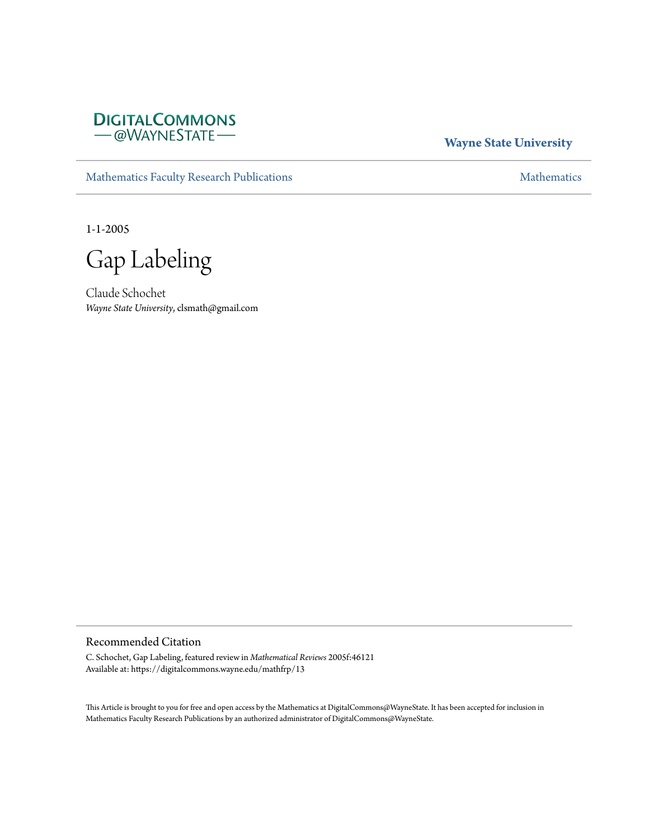

**Wayne State University**

[Mathematics Faculty Research Publications](https://digitalcommons.wayne.edu/mathfrp) **[Mathematics](https://digitalcommons.wayne.edu/math)** Mathematics

1-1-2005

Gap Labeling

Claude Schochet *Wayne State University*, clsmath@gmail.com

#### Recommended Citation

C. Schochet, Gap Labeling, featured review in *Mathematical Reviews* 2005f:46121 Available at: https://digitalcommons.wayne.edu/mathfrp/13

This Article is brought to you for free and open access by the Mathematics at DigitalCommons@WayneState. It has been accepted for inclusion in Mathematics Faculty Research Publications by an authorized administrator of DigitalCommons@WayneState.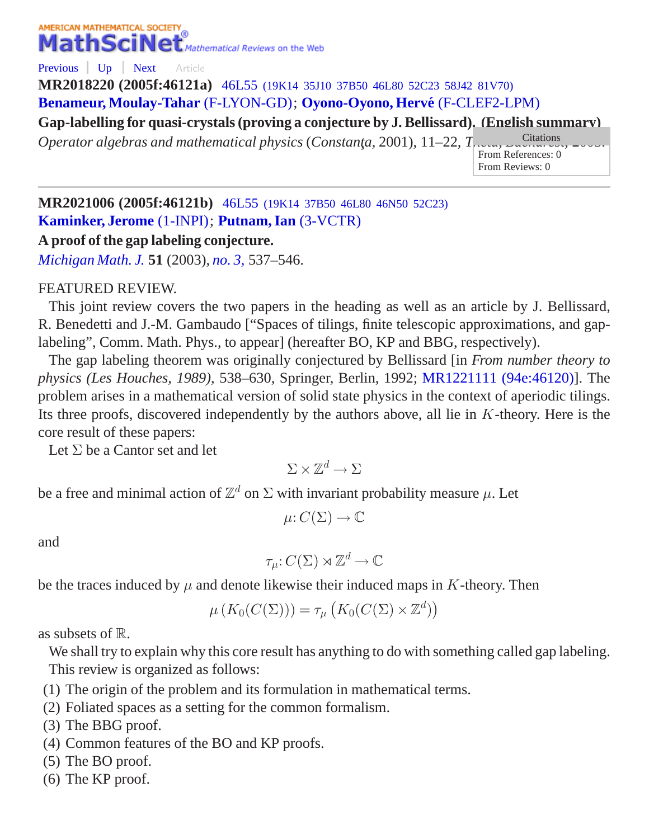# AMERICAN MATHEMATICAL SOCIETY MathSciNet<sup>®</sup> Mathematical Reviews on the Web

[Previous](/mathscinet/pdf/2193205.pdf?arg3=&co4=AND&co5=AND&co6=AND&co7=AND&dr=all&pg4=AUCN&pg5=TI&pg6=PC&pg7=ALLF&pg8=ET&review_format=html&s4=&s5=Gap%20Labeling&s6=&s7=&s8=All&vfpref=html&yearRangeFirst=&yearRangeSecond=&yrop=eq&r=4) [Up](/mathscinet/search/publications.html?arg3=&co4=AND&co5=AND&co6=AND&co7=AND&dr=all&pg4=AUCN&pg5=TI&pg6=PC&pg7=ALLF&pg8=ET&review_format=html&s4=&s5=Gap%20Labeling&s6=&s7=&s8=All&vfpref=html&yearRangeFirst=&yearRangeSecond=&yrop=eq&r=1) [Next](/mathscinet/pdf/1798994.pdf?arg3=&co4=AND&co5=AND&co6=AND&co7=AND&dr=all&pg4=AUCN&pg5=TI&pg6=PC&pg7=ALLF&pg8=ET&review_format=html&s4=&s5=Gap%20Labeling&s6=&s7=&s8=All&vfpref=html&yearRangeFirst=&yearRangeSecond=&yrop=eq&r=6) Article

**MR2018220 (2005f:46121a)** 46L55 [\(19K14 35J10 37B50 46L80 52C23 58J42 81V70\)](/mathscinet/search/mscdoc.html?code=46L55%2C%2819K14%2C35J10%2C37B50%2C46L80%2C52C23%2C58J42%2C81V70%29) **[Benameur, Moulay-Tahar](/mathscinet/search/publications.html?pg1=IID&s1=341472)** [\(F-LYON-GD\)](/mathscinet/search/institution.html?code=F_LYON_GD); **[Oyono-Oyono, Herve´](/mathscinet/search/publications.html?pg1=IID&s1=639438)** [\(F-CLEF2-LPM\)](/mathscinet/search/institution.html?code=F_CLEF2_LPM)

**Gap-labelling for quasi-crystals (proving a conjecture by J. Bellissard). (English summary)**

*Operator algebras and mathematical physics* (*Constanta*, 2001), 11–22, *T*<sub>needa</sub>, *Bucharest*,

From References: 0 From Reviews: 0

**MR2021006 (2005f:46121b)** 46L55 [\(19K14 37B50 46L80 46N50 52C23\)](/mathscinet/search/mscdoc.html?code=46L55%2C%2819K14%2C37B50%2C46L80%2C46N50%2C52C23%29) **[Kaminker, Jerome](/mathscinet/search/publications.html?pg1=IID&s1=97535)** [\(1-INPI\)](/mathscinet/search/institution.html?code=1_INPI); **[Putnam, Ian](/mathscinet/search/publications.html?pg1=IID&s1=142845)** [\(3-VCTR\)](/mathscinet/search/institution.html?code=3_VCTR)

## **A proof of the gap labeling conjecture.**

*[Michigan Math. J.](/mathscinet/search/journaldoc.html?&cn=Michigan_Math_J)* **51** (2003), *[no. 3,](/mathscinet/search/publications.html?pg1=ISSI&s1=215104)* 537*–*546.

## FEATURED REVIEW.

This joint review covers the two papers in the heading as well as an article by J. Bellissard, R. Benedetti and J.-M. Gambaudo ["Spaces of tilings, finite telescopic approximations, and gaplabeling", Comm. Math. Phys., to appear] (hereafter BO, KP and BBG, respectively).

The gap labeling theorem was originally conjectured by Bellissard [in *From number theory to physics (Les Houches, 1989)*, 538–630, Springer, Berlin, 1992; [MR1221111 \(94e:46120\)\]](/mathscinet/pdf/1221111.pdf). The problem arises in a mathematical version of solid state physics in the context of aperiodic tilings. Its three proofs, discovered independently by the authors above, all lie in  $K$ -theory. Here is the core result of these papers:

Let  $\Sigma$  be a Cantor set and let

 $\Sigma\times\mathbb{Z}^d\to\Sigma$ 

be a free and minimal action of  $\mathbb{Z}^d$  on  $\Sigma$  with invariant probability measure  $\mu$ . Let

$$
\mu: C(\Sigma) \to \mathbb{C}
$$

and

$$
\tau_{\mu}: C(\Sigma) \rtimes \mathbb{Z}^d \to \mathbb{C}
$$

be the traces induced by  $\mu$  and denote likewise their induced maps in K-theory. Then

$$
\mu\left(K_0(C(\Sigma))\right) = \tau_\mu\left(K_0(C(\Sigma) \times \mathbb{Z}^d)\right)
$$

as subsets of  $\mathbb{R}$ .

We shall try to explain why this core result has anything to do with something called gap labeling. This review is organized as follows:

- (1) The origin of the problem and its formulation in mathematical terms.
- (2) Foliated spaces as a setting for the common formalism.
- (3) The BBG proof.
- (4) Common features of the BO and KP proofs.
- (5) The BO proof.
- (6) The KP proof.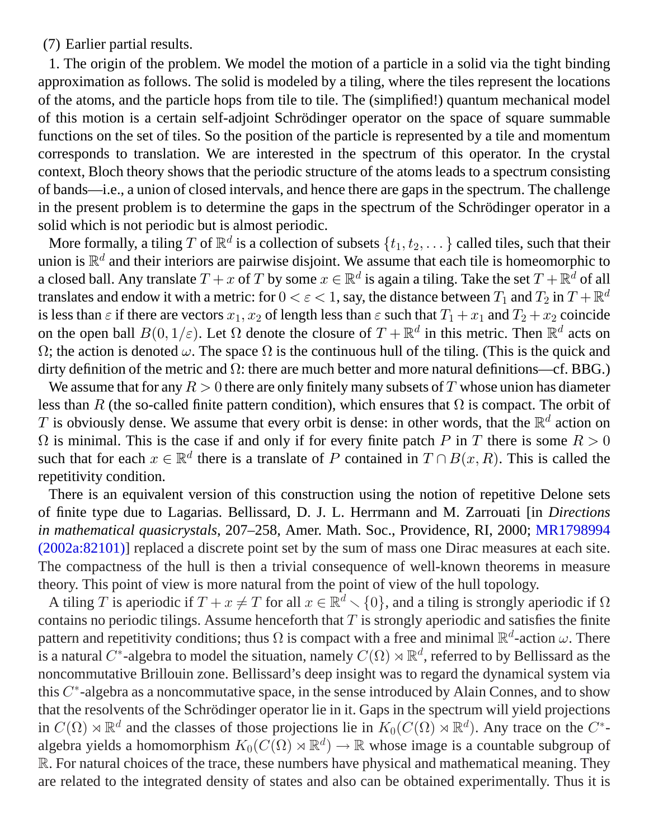(7) Earlier partial results.

1. The origin of the problem. We model the motion of a particle in a solid via the tight binding approximation as follows. The solid is modeled by a tiling, where the tiles represent the locations of the atoms, and the particle hops from tile to tile. The (simplified!) quantum mechanical model of this motion is a certain self-adjoint Schrödinger operator on the space of square summable functions on the set of tiles. So the position of the particle is represented by a tile and momentum corresponds to translation. We are interested in the spectrum of this operator. In the crystal context, Bloch theory shows that the periodic structure of the atoms leads to a spectrum consisting of bands—i.e., a union of closed intervals, and hence there are gaps in the spectrum. The challenge in the present problem is to determine the gaps in the spectrum of the Schrödinger operator in a solid which is not periodic but is almost periodic.

More formally, a tiling  $T$  of  $\mathbb{R}^d$  is a collection of subsets  $\{t_1,t_2,\dots\}$  called tiles, such that their union is  $\mathbb{R}^d$  and their interiors are pairwise disjoint. We assume that each tile is homeomorphic to a closed ball. Any translate  $T+x$  of  $T$  by some  $x\in\mathbb{R}^d$  is again a tiling. Take the set  $T+\mathbb{R}^d$  of all translates and endow it with a metric: for  $0<\varepsilon < 1,$  say, the distance between  $T_1$  and  $T_2$  in  $T+\mathbb{R}^d$ is less than  $\varepsilon$  if there are vectors  $x_1, x_2$  of length less than  $\varepsilon$  such that  $T_1 + x_1$  and  $T_2 + x_2$  coincide on the open ball  $B(0, 1/\varepsilon)$ . Let  $\Omega$  denote the closure of  $T + \mathbb{R}^d$  in this metric. Then  $\mathbb{R}^d$  acts on  $Ω$ ; the action is denoted  $ω$ . The space  $Ω$  is the continuous hull of the tiling. (This is the quick and dirty definition of the metric and  $\Omega$ : there are much better and more natural definitions—cf. BBG.)

We assume that for any  $R > 0$  there are only finitely many subsets of T whose union has diameter less than R (the so-called finite pattern condition), which ensures that  $\Omega$  is compact. The orbit of T is obviously dense. We assume that every orbit is dense: in other words, that the  $\mathbb{R}^d$  action on  $\Omega$  is minimal. This is the case if and only if for every finite patch P in T there is some  $R > 0$ such that for each  $x \in \mathbb{R}^d$  there is a translate of P contained in  $T \cap B(x, R)$ . This is called the repetitivity condition.

There is an equivalent version of this construction using the notion of repetitive Delone sets of finite type due to Lagarias. Bellissard, D. J. L. Herrmann and M. Zarrouati [in *Directions in mathematical quasicrystals*, 207–258, Amer. Math. Soc., Providence, RI, 2000; [MR1798994](/mathscinet/pdf/1798994.pdf) [\(2002a:82101\)](/mathscinet/pdf/1798994.pdf)] replaced a discrete point set by the sum of mass one Dirac measures at each site. The compactness of the hull is then a trivial consequence of well-known theorems in measure theory. This point of view is more natural from the point of view of the hull topology.

A tiling T is aperiodic if  $T + x \neq T$  for all  $x \in \mathbb{R}^d \setminus \{0\}$ , and a tiling is strongly aperiodic if  $\Omega$ contains no periodic tilings. Assume henceforth that  $T$  is strongly aperiodic and satisfies the finite pattern and repetitivity conditions; thus  $\Omega$  is compact with a free and minimal  $\mathbb{R}^d$ -action  $\omega$ . There is a natural  $C^*$ -algebra to model the situation, namely  $C(\Omega) \rtimes \mathbb{R}^d$ , referred to by Bellissard as the noncommutative Brillouin zone. Bellissard's deep insight was to regard the dynamical system via this  $C^*$ -algebra as a noncommutative space, in the sense introduced by Alain Connes, and to show that the resolvents of the Schrödinger operator lie in it. Gaps in the spectrum will yield projections in  $C(\Omega) \rtimes \mathbb{R}^d$  and the classes of those projections lie in  $K_0(C(\Omega) \rtimes \mathbb{R}^d)$ . Any trace on the  $C^*$ algebra yields a homomorphism  $K_0(C(\Omega) \rtimes \mathbb{R}^d) \to \mathbb{R}$  whose image is a countable subgroup of R. For natural choices of the trace, these numbers have physical and mathematical meaning. They are related to the integrated density of states and also can be obtained experimentally. Thus it is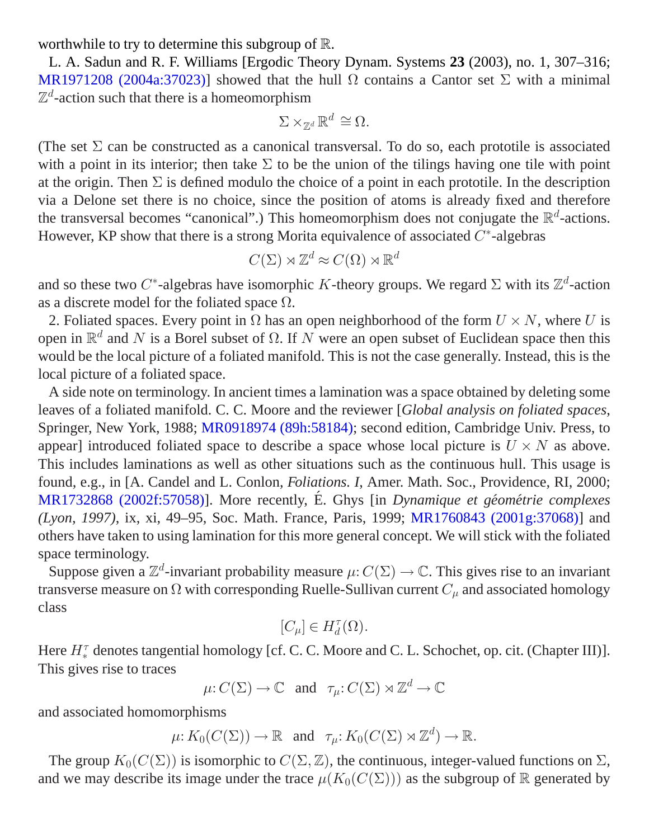worthwhile to try to determine this subgroup of R.

L. A. Sadun and R. F. Williams [Ergodic Theory Dynam. Systems **23** (2003), no. 1, 307–316; [MR1971208 \(2004a:37023\)](/mathscinet/pdf/1971208.pdf)] showed that the hull  $\Omega$  contains a Cantor set  $\Sigma$  with a minimal  $\mathbb{Z}^d$ -action such that there is a homeomorphism

$$
\Sigma \times_{\mathbb{Z}^d} \mathbb{R}^d \cong \Omega.
$$

(The set  $\Sigma$  can be constructed as a canonical transversal. To do so, each prototile is associated with a point in its interior; then take  $\Sigma$  to be the union of the tilings having one tile with point at the origin. Then  $\Sigma$  is defined modulo the choice of a point in each prototile. In the description via a Delone set there is no choice, since the position of atoms is already fixed and therefore the transversal becomes "canonical".) This homeomorphism does not conjugate the  $\mathbb{R}^d$ -actions. However, KP show that there is a strong Morita equivalence of associated  $C^*$ -algebras

$$
C(\Sigma) \rtimes \mathbb{Z}^d \approx C(\Omega) \rtimes \mathbb{R}^d
$$

and so these two C<sup>\*</sup>-algebras have isomorphic K-theory groups. We regard  $\Sigma$  with its  $\mathbb{Z}^d$ -action as a discrete model for the foliated space  $\Omega$ .

2. Foliated spaces. Every point in  $\Omega$  has an open neighborhood of the form  $U \times N$ , where U is open in  $\mathbb{R}^d$  and N is a Borel subset of  $\Omega$ . If N were an open subset of Euclidean space then this would be the local picture of a foliated manifold. This is not the case generally. Instead, this is the local picture of a foliated space.

A side note on terminology. In ancient times a lamination was a space obtained by deleting some leaves of a foliated manifold. C. C. Moore and the reviewer [*Global analysis on foliated spaces*, Springer, New York, 1988; [MR0918974 \(89h:58184\)](/mathscinet/pdf/918974.pdf); second edition, Cambridge Univ. Press, to appear] introduced foliated space to describe a space whose local picture is  $U \times N$  as above. This includes laminations as well as other situations such as the continuous hull. This usage is found, e.g., in [A. Candel and L. Conlon, *Foliations. I*, Amer. Math. Soc., Providence, RI, 2000; [MR1732868 \(2002f:57058\)\]](/mathscinet/pdf/1732868.pdf). More recently, É. Ghys [in *Dynamique et géométrie complexes (Lyon, 1997)*, ix, xi, 49–95, Soc. Math. France, Paris, 1999; [MR1760843 \(2001g:37068\)](/mathscinet/pdf/1760843.pdf)] and others have taken to using lamination for this more general concept. We will stick with the foliated space terminology.

Suppose given a  $\mathbb{Z}^d$ -invariant probability measure  $\mu: C(\Sigma) \to \mathbb{C}$ . This gives rise to an invariant transverse measure on  $\Omega$  with corresponding Ruelle-Sullivan current  $C_u$  and associated homology class

$$
[C_\mu]\in H^\tau_d(\Omega).
$$

Here  $H_*^{\tau}$  denotes tangential homology [cf. C. C. Moore and C. L. Schochet, op. cit. (Chapter III)]. This gives rise to traces

$$
\mu: C(\Sigma) \to \mathbb{C}
$$
 and  $\tau_{\mu}: C(\Sigma) \rtimes \mathbb{Z}^d \to \mathbb{C}$ 

and associated homomorphisms

 $\mu: K_0(C(\Sigma)) \to \mathbb{R}$  and  $\tau_\mu: K_0(C(\Sigma) \rtimes \mathbb{Z}^d) \to \mathbb{R}$ .

The group  $K_0(C(\Sigma))$  is isomorphic to  $C(\Sigma, \mathbb{Z})$ , the continuous, integer-valued functions on  $\Sigma$ , and we may describe its image under the trace  $\mu(K_0(C(\Sigma)))$  as the subgroup of R generated by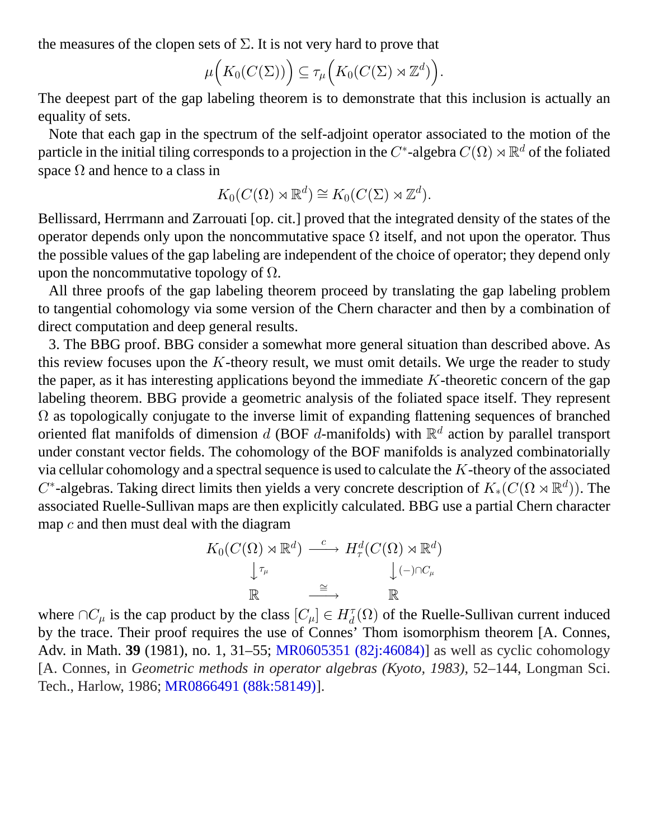the measures of the clopen sets of  $\Sigma$ . It is not very hard to prove that

$$
\mu\Big(K_0(C(\Sigma))\Big) \subseteq \tau_\mu\Big(K_0(C(\Sigma) \rtimes \mathbb{Z}^d)\Big).
$$

The deepest part of the gap labeling theorem is to demonstrate that this inclusion is actually an equality of sets.

Note that each gap in the spectrum of the self-adjoint operator associated to the motion of the particle in the initial tiling corresponds to a projection in the  $C^*$ -algebra  $C(\Omega)\rtimes \mathbb{R}^d$  of the foliated space  $\Omega$  and hence to a class in

$$
K_0(C(\Omega) \rtimes \mathbb{R}^d) \cong K_0(C(\Sigma) \rtimes \mathbb{Z}^d).
$$

Bellissard, Herrmann and Zarrouati [op. cit.] proved that the integrated density of the states of the operator depends only upon the noncommutative space  $\Omega$  itself, and not upon the operator. Thus the possible values of the gap labeling are independent of the choice of operator; they depend only upon the noncommutative topology of  $\Omega$ .

All three proofs of the gap labeling theorem proceed by translating the gap labeling problem to tangential cohomology via some version of the Chern character and then by a combination of direct computation and deep general results.

3. The BBG proof. BBG consider a somewhat more general situation than described above. As this review focuses upon the  $K$ -theory result, we must omit details. We urge the reader to study the paper, as it has interesting applications beyond the immediate  $K$ -theoretic concern of the gap labeling theorem. BBG provide a geometric analysis of the foliated space itself. They represent  $\Omega$  as topologically conjugate to the inverse limit of expanding flattening sequences of branched oriented flat manifolds of dimension d (BOF d-manifolds) with  $\mathbb{R}^d$  action by parallel transport under constant vector fields. The cohomology of the BOF manifolds is analyzed combinatorially via cellular cohomology and a spectral sequence is used to calculate the K-theory of the associated  $C^*$ -algebras. Taking direct limits then yields a very concrete description of  $K_*(C(\Omega \rtimes \mathbb{R}^d))$ . The associated Ruelle-Sullivan maps are then explicitly calculated. BBG use a partial Chern character map  $c$  and then must deal with the diagram

$$
K_0(C(\Omega) \rtimes \mathbb{R}^d) \xrightarrow{c} H^d_\tau(C(\Omega) \rtimes \mathbb{R}^d) \downarrow \qquad \downarrow \qquad \downarrow \qquad \downarrow \qquad \downarrow \qquad \downarrow \qquad \downarrow \qquad \downarrow \qquad \downarrow \qquad \downarrow \qquad \downarrow \qquad \downarrow \qquad \downarrow \qquad \downarrow \qquad \downarrow \qquad \downarrow \qquad \downarrow \qquad \downarrow \qquad \downarrow \qquad \downarrow \qquad \downarrow \qquad \downarrow \qquad \downarrow \qquad \downarrow \qquad \downarrow \qquad \downarrow \qquad \downarrow \qquad \downarrow \qquad \downarrow \qquad \downarrow \qquad \downarrow \qquad \downarrow \qquad \downarrow \qquad \downarrow \qquad \downarrow \qquad \downarrow \qquad \downarrow \qquad \downarrow \qquad \downarrow \qquad \downarrow \qquad \downarrow \qquad \downarrow \qquad \downarrow \qquad \downarrow \qquad \downarrow \qquad \downarrow \qquad \downarrow \qquad \downarrow \qquad \downarrow \qquad \downarrow \qquad \downarrow \qquad \downarrow \qquad \downarrow \qquad \downarrow \qquad \downarrow \qquad \downarrow \qquad \downarrow \qquad \downarrow \qquad \downarrow \qquad \downarrow \qquad \downarrow \qquad \downarrow \qquad \downarrow \qquad \downarrow \qquad \downarrow \qquad \downarrow \qquad \downarrow \qquad \downarrow \qquad \downarrow \qquad \downarrow \qquad \downarrow \qquad \downarrow \qquad \downarrow \qquad \downarrow \qquad \downarrow \qquad \downarrow \qquad \downarrow \qquad \downarrow \qquad \downarrow \qquad \downarrow \qquad \downarrow \qquad \downarrow \qquad \downarrow \qquad \downarrow \qquad \downarrow \qquad \downarrow \qquad \downarrow \qquad \downarrow \qquad \downarrow \qquad \downarrow \qquad \downarrow \qquad \downarrow \qquad \downarrow \qquad \downarrow \qquad \downarrow \qquad \downarrow \qquad \downarrow \qquad \downarrow \qquad \downarrow \qquad \downarrow \qquad \downarrow \qquad \downarrow \qquad \downarrow \qquad \downarrow \qquad \downarrow \qquad \downarrow \qquad \downarrow \qquad \downarrow \qquad \downarrow \qquad \downarrow \qquad \downarrow \qquad \downarrow \qquad \downarrow \qquad \downarrow \qquad \downarrow \qquad \downarrow \qquad \downarrow \qquad \downarrow \qquad \downarrow \q
$$

where  $\cap C_{\mu}$  is the cap product by the class  $[C_{\mu}] \in H_d^{\tau}(\Omega)$  of the Ruelle-Sullivan current induced by the trace. Their proof requires the use of Connes' Thom isomorphism theorem [A. Connes, Adv. in Math. **39** (1981), no. 1, 31–55; [MR0605351 \(82j:46084\)\]](/mathscinet/pdf/605351.pdf) as well as cyclic cohomology [A. Connes, in *Geometric methods in operator algebras (Kyoto, 1983)*, 52–144, Longman Sci. Tech., Harlow, 1986; [MR0866491 \(88k:58149\)](/mathscinet/pdf/866491.pdf)].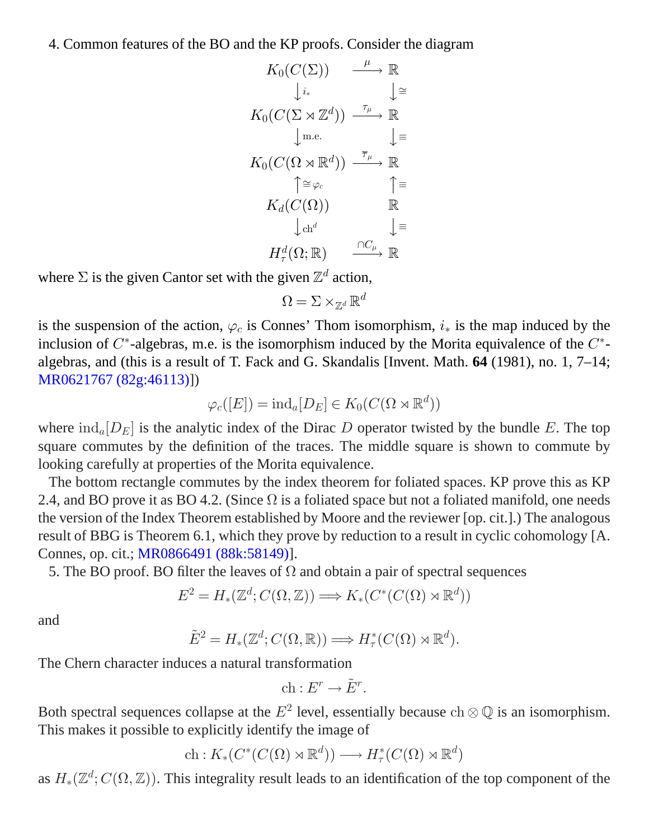4. Common features of the BO and the KP proofs. Consider the diagram

$$
K_0(C(\Sigma)) \xrightarrow{\mu} \mathbb{R}
$$
  
\n
$$
\downarrow i_* \qquad \downarrow \cong
$$
  
\n
$$
K_0(C(\Sigma \rtimes \mathbb{Z}^d)) \xrightarrow{\tau_\mu} \mathbb{R}
$$
  
\n
$$
\downarrow \text{m.e.} \qquad \downarrow \equiv
$$
  
\n
$$
K_0(C(\Omega \rtimes \mathbb{R}^d)) \xrightarrow{\overline{\tau}_\mu} \mathbb{R}
$$
  
\n
$$
\uparrow \cong \varphi_c \qquad \uparrow \equiv
$$
  
\n
$$
K_d(C(\Omega)) \qquad \mathbb{R}
$$
  
\n
$$
\downarrow \text{ch}^d \qquad \downarrow \equiv
$$
  
\n
$$
H_\tau^d(\Omega; \mathbb{R}) \xrightarrow{\cap C_\mu} \mathbb{R}
$$

where  $\Sigma$  is the given Cantor set with the given  $\mathbb{Z}^d$  action,

 $\Omega = \Sigma \times_{\mathbb{Z}^d} \mathbb{R}^d$ 

is the suspension of the action,  $\varphi_c$  is Connes' Thom isomorphism,  $i_*$  is the map induced by the inclusion of  $C^*$ -algebras, m.e. is the isomorphism induced by the Morita equivalence of the  $C^*$ algebras, and (this is a result of T. Fack and G. Skandalis [Invent. Math. **64** (1981), no. 1, 7–14; [MR0621767 \(82g:46113\)\]](/mathscinet/pdf/621767.pdf))

$$
\varphi_c([E]) = \mathrm{ind}_a[D_E] \in K_0(C(\Omega \rtimes \mathbb{R}^d))
$$

where  $\text{ind}_{a}[D_{E}]$  is the analytic index of the Dirac D operator twisted by the bundle E. The top square commutes by the definition of the traces. The middle square is shown to commute by looking carefully at properties of the Morita equivalence.

The bottom rectangle commutes by the index theorem for foliated spaces. KP prove this as KP 2.4, and BO prove it as BO 4.2. (Since  $\Omega$  is a foliated space but not a foliated manifold, one needs the version of the Index Theorem established by Moore and the reviewer [op. cit.].) The analogous result of BBG is Theorem 6.1, which they prove by reduction to a result in cyclic cohomology [A. Connes, op. cit.; [MR0866491 \(88k:58149\)\]](/mathscinet/pdf/866491.pdf).

5. The BO proof. BO filter the leaves of  $\Omega$  and obtain a pair of spectral sequences

$$
E^2 = H_*(\mathbb{Z}^d; C(\Omega, \mathbb{Z})) \Longrightarrow K_*(C^*(C(\Omega) \rtimes \mathbb{R}^d))
$$

and

$$
\tilde{E}^2 = H_*(\mathbb{Z}^d; C(\Omega, \mathbb{R})) \Longrightarrow H^*_\tau(C(\Omega) \rtimes \mathbb{R}^d).
$$

The Chern character induces a natural transformation

$$
\mathrm{ch}: E^r \to \tilde{E}^r.
$$

Both spectral sequences collapse at the  $E^2$  level, essentially because  $ch \otimes \mathbb{Q}$  is an isomorphism. This makes it possible to explicitly identify the image of

$$
\mathrm{ch}: K_*(C^*(C(\Omega) \rtimes \mathbb{R}^d)) \longrightarrow H^*_\tau(C(\Omega) \rtimes \mathbb{R}^d)
$$

as  $H_*(\mathbb{Z}^d; C(\Omega, \mathbb{Z}))$ . This integrality result leads to an identification of the top component of the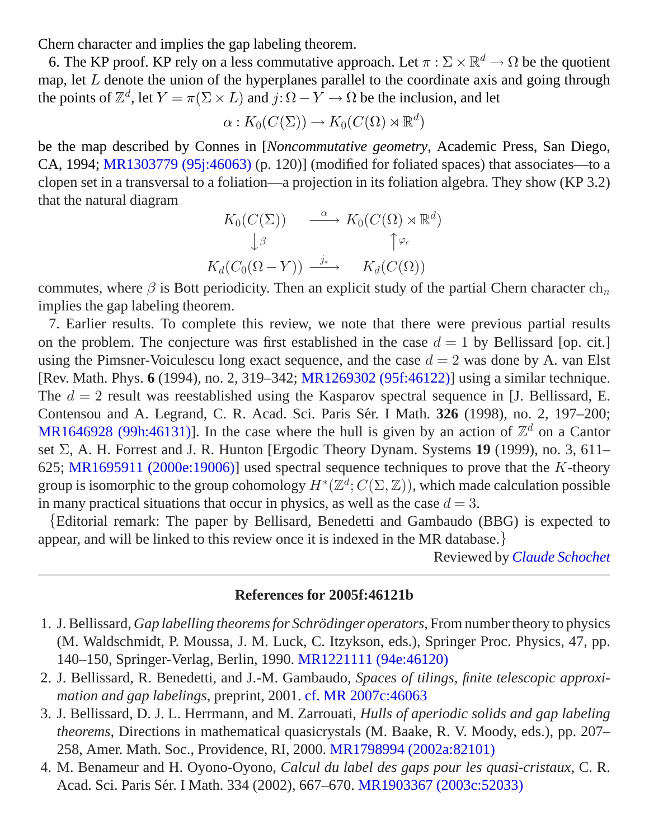Chern character and implies the gap labeling theorem.

6. The KP proof. KP rely on a less commutative approach. Let  $\pi : \Sigma \times \mathbb{R}^d \to \Omega$  be the quotient map, let  $L$  denote the union of the hyperplanes parallel to the coordinate axis and going through the points of  $\mathbb{Z}^d$ , let  $Y = \pi(\Sigma \times L)$  and  $j: \Omega - Y \to \Omega$  be the inclusion, and let

$$
\alpha: K_0(C(\Sigma)) \to K_0(C(\Omega) \rtimes \mathbb{R}^d)
$$

be the map described by Connes in [*Noncommutative geometry*, Academic Press, San Diego, CA, 1994; [MR1303779 \(95j:46063\)](/mathscinet/pdf/1303779.pdf) (p. 120)] (modified for foliated spaces) that associates—to a clopen set in a transversal to a foliation—a projection in its foliation algebra. They show (KP 3.2) that the natural diagram

$$
K_0(C(\Sigma)) \qquad \xrightarrow{\alpha} K_0(C(\Omega) \rtimes \mathbb{R}^d)
$$
  

$$
\downarrow^{\beta} \qquad \qquad \uparrow^{\varphi_c}
$$
  

$$
K_d(C_0(\Omega - Y)) \xrightarrow{j_*} K_d(C(\Omega))
$$

commutes, where  $\beta$  is Bott periodicity. Then an explicit study of the partial Chern character  $ch_n$ implies the gap labeling theorem.

7. Earlier results. To complete this review, we note that there were previous partial results on the problem. The conjecture was first established in the case  $d = 1$  by Bellissard [op. cit.] using the Pimsner-Voiculescu long exact sequence, and the case  $d = 2$  was done by A. van Elst [Rev. Math. Phys. **6** (1994), no. 2, 319–342; [MR1269302 \(95f:46122\)\]](/mathscinet/pdf/1269302.pdf) using a similar technique. The  $d = 2$  result was reestablished using the Kasparov spectral sequence in [J. Bellissard, E. Contensou and A. Legrand, C. R. Acad. Sci. Paris Sér. I Math. **326** (1998), no. 2, 197–200; [MR1646928 \(99h:46131\)](/mathscinet/pdf/1646928.pdf)]. In the case where the hull is given by an action of  $\mathbb{Z}^d$  on a Cantor set Σ, A. H. Forrest and J. R. Hunton [Ergodic Theory Dynam. Systems **19** (1999), no. 3, 611– 625; [MR1695911 \(2000e:19006\)\]](/mathscinet/pdf/1695911.pdf) used spectral sequence techniques to prove that the K-theory group is isomorphic to the group cohomology  $H^*(\mathbb{Z}^d; C(\Sigma, \mathbb{Z}))$ , which made calculation possible in many practical situations that occur in physics, as well as the case  $d = 3$ .

{Editorial remark: The paper by Bellisard, Benedetti and Gambaudo (BBG) is expected to appear, and will be linked to this review once it is indexed in the MR database.}

Reviewed by *[Claude Schochet](/mathscinet/search/publications.html?pg1=IID&s1=191627)*

#### **References for 2005f:46121b**

- 1. J. Bellissard, *Gap labelling theorems for Schrödinger operators*, From number theory to physics (M. Waldschmidt, P. Moussa, J. M. Luck, C. Itzykson, eds.), Springer Proc. Physics, 47, pp. 140–150, Springer-Verlag, Berlin, 1990. [MR1221111 \(94e:46120\)](/mathscinet/pdf/1221111.pdf?pg1=MR&s1=94e:46120&loc=fromreflist)
- 2. J. Bellissard, R. Benedetti, and J.-M. Gambaudo, *Spaces of tilings, finite telescopic approximation and gap labelings*, preprint, 2001. [cf. MR 2007c:46063](/mathscinet/pdf/2193205.pdf?pg1=MR&s1=2007c:46063&loc=fromreflist)
- 3. J. Bellissard, D. J. L. Herrmann, and M. Zarrouati, *Hulls of aperiodic solids and gap labeling theorems*, Directions in mathematical quasicrystals (M. Baake, R. V. Moody, eds.), pp. 207– 258, Amer. Math. Soc., Providence, RI, 2000. [MR1798994 \(2002a:82101\)](/mathscinet/pdf/1798994.pdf?pg1=MR&s1=2002a:82101&loc=fromreflist)
- 4. M. Benameur and H. Oyono-Oyono, *Calcul du label des gaps pour les quasi-cristaux*, C. R. Acad. Sci. Paris Sér. I Math. 334 (2002), 667–670. [MR1903367 \(2003c:52033\)](/mathscinet/pdf/1903367.pdf?pg1=MR&s1=2003c:52033&loc=fromreflist)